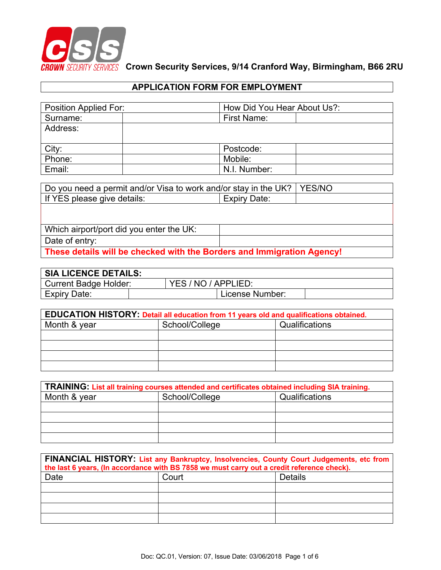

# **APPLICATION FORM FOR EMPLOYMENT**

| Position Applied For: | How Did You Hear About Us?: |  |
|-----------------------|-----------------------------|--|
| Surname:              | <b>First Name:</b>          |  |
| Address:              |                             |  |
|                       |                             |  |
| City:                 | Postcode:                   |  |
| Phone:                | Mobile:                     |  |
| Email:                | N.I. Number:                |  |

| Do you need a permit and/or Visa to work and/or stay in the UK?   YES/NO |  |  |  |  |
|--------------------------------------------------------------------------|--|--|--|--|
| If YES please give details:                                              |  |  |  |  |
|                                                                          |  |  |  |  |
|                                                                          |  |  |  |  |
| Which airport/port did you enter the UK:                                 |  |  |  |  |
| Date of entry:                                                           |  |  |  |  |
| These details will be checked with the Borders and Immigration Agency!   |  |  |  |  |

| <b>SIA LICENCE DETAILS:</b>  |  |  |                     |  |
|------------------------------|--|--|---------------------|--|
| <b>Current Badge Holder:</b> |  |  | YES / NO / APPLIED: |  |
| Expiry Date:                 |  |  | License Number:     |  |

| EDUCATION HISTORY: Detail all education from 11 years old and qualifications obtained. |                                  |  |  |
|----------------------------------------------------------------------------------------|----------------------------------|--|--|
| Month & year                                                                           | School/College<br>Qualifications |  |  |
|                                                                                        |                                  |  |  |
|                                                                                        |                                  |  |  |
|                                                                                        |                                  |  |  |
|                                                                                        |                                  |  |  |

| TRAINING: List all training courses attended and certificates obtained including SIA training. |                |                |  |
|------------------------------------------------------------------------------------------------|----------------|----------------|--|
| Month & year                                                                                   | School/College | Qualifications |  |
|                                                                                                |                |                |  |
|                                                                                                |                |                |  |
|                                                                                                |                |                |  |
|                                                                                                |                |                |  |

| FINANCIAL HISTORY: List any Bankruptcy, Insolvencies, County Court Judgements, etc from<br>the last 6 years, (In accordance with BS 7858 we must carry out a credit reference check). |                  |  |  |
|---------------------------------------------------------------------------------------------------------------------------------------------------------------------------------------|------------------|--|--|
| Date                                                                                                                                                                                  | Court<br>Details |  |  |
|                                                                                                                                                                                       |                  |  |  |
|                                                                                                                                                                                       |                  |  |  |
|                                                                                                                                                                                       |                  |  |  |
|                                                                                                                                                                                       |                  |  |  |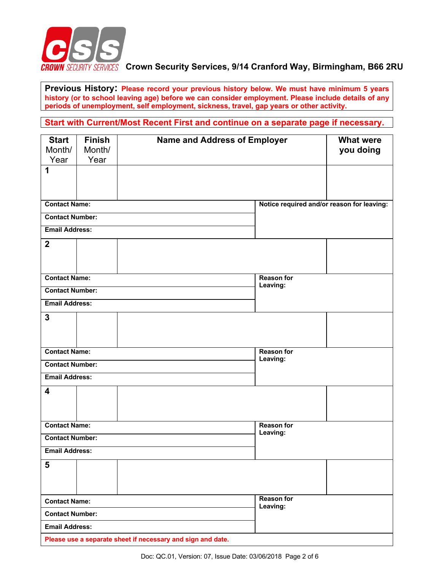

**Previous History: Please record your previous history below. We must have minimum 5 years history (or to school leaving age) before we can consider employment. Please include details of any periods of unemployment, self employment, sickness, travel, gap years or other activity.**

**Start with Current/Most Recent First and continue on a separate page if necessary.**

| <b>Start</b><br>Month/<br>Year | <b>Finish</b><br>Month/<br>Year | <b>Name and Address of Employer</b>                         |                                            | <b>What were</b><br>you doing |
|--------------------------------|---------------------------------|-------------------------------------------------------------|--------------------------------------------|-------------------------------|
| 1                              |                                 |                                                             |                                            |                               |
| <b>Contact Name:</b>           |                                 |                                                             | Notice required and/or reason for leaving: |                               |
| <b>Contact Number:</b>         |                                 |                                                             |                                            |                               |
| <b>Email Address:</b>          |                                 |                                                             |                                            |                               |
| $\mathbf{2}$                   |                                 |                                                             |                                            |                               |
| <b>Contact Name:</b>           |                                 |                                                             | <b>Reason for</b><br>Leaving:              |                               |
| <b>Contact Number:</b>         |                                 |                                                             |                                            |                               |
| <b>Email Address:</b>          |                                 |                                                             |                                            |                               |
| $\mathbf{3}$                   |                                 |                                                             |                                            |                               |
| <b>Contact Name:</b>           |                                 |                                                             | <b>Reason for</b>                          |                               |
| <b>Contact Number:</b>         |                                 |                                                             | Leaving:                                   |                               |
| <b>Email Address:</b>          |                                 |                                                             |                                            |                               |
| 4                              |                                 |                                                             |                                            |                               |
| <b>Contact Name:</b>           |                                 |                                                             | <b>Reason for</b><br>Leaving:              |                               |
| <b>Contact Number:</b>         |                                 |                                                             |                                            |                               |
| <b>Email Address:</b>          |                                 |                                                             |                                            |                               |
| 5                              |                                 |                                                             |                                            |                               |
| <b>Contact Name:</b>           |                                 |                                                             | <b>Reason for</b><br>Leaving:              |                               |
| <b>Contact Number:</b>         |                                 |                                                             |                                            |                               |
| <b>Email Address:</b>          |                                 |                                                             |                                            |                               |
|                                |                                 | Please use a separate sheet if necessary and sign and date. |                                            |                               |

Doc: QC.01, Version: 07, Issue Date: 03/06/2018 Page 2 of 6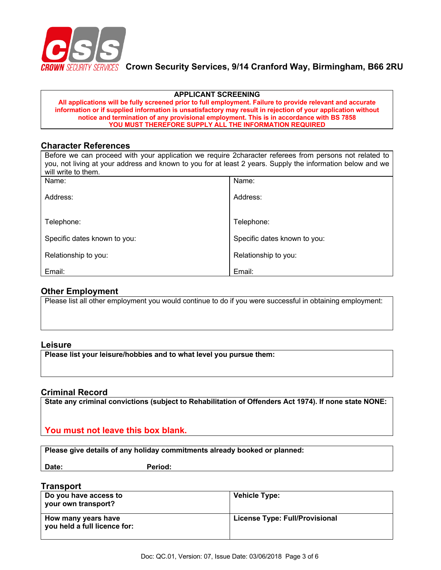

#### **APPLICANT SCREENING**

**All applications will be fully screened prior to full employment. Failure to provide relevant and accurate information or if supplied information is unsatisfactory may result in rejection of your application without notice and termination of any provisional employment. This is in accordance with BS 7858 YOU MUST THEREFORE SUPPLY ALL THE INFORMATION REQUIRED**

#### **Character References**

| Before we can proceed with your application we require 2character referees from persons not related to<br>you, not living at your address and known to you for at least 2 years. Supply the information below and we<br>will write to them. |                              |  |
|---------------------------------------------------------------------------------------------------------------------------------------------------------------------------------------------------------------------------------------------|------------------------------|--|
| Name:                                                                                                                                                                                                                                       | Name:                        |  |
| Address:                                                                                                                                                                                                                                    | Address:                     |  |
| Telephone:                                                                                                                                                                                                                                  | Telephone:                   |  |
| Specific dates known to you:                                                                                                                                                                                                                | Specific dates known to you: |  |
| Relationship to you:                                                                                                                                                                                                                        | Relationship to you:         |  |
| Email:                                                                                                                                                                                                                                      | Email:                       |  |

# **Other Employment**

Please list all other employment you would continue to do if you were successful in obtaining employment:

#### **Leisure**

**Please list your leisure/hobbies and to what level you pursue them:**

# **Criminal Record**

**State any criminal convictions (subject to Rehabilitation of Offenders Act 1974). If none state NONE:**

**You must not leave this box blank.**

**Please give details of any holiday commitments already booked or planned:**

Date: Period:

# **Transport**

| Do you have access to<br>vour own transport?               | <b>Vehicle Type:</b>           |
|------------------------------------------------------------|--------------------------------|
| How many years have<br>$\mid$ you held a full licence for: | License Type: Full/Provisional |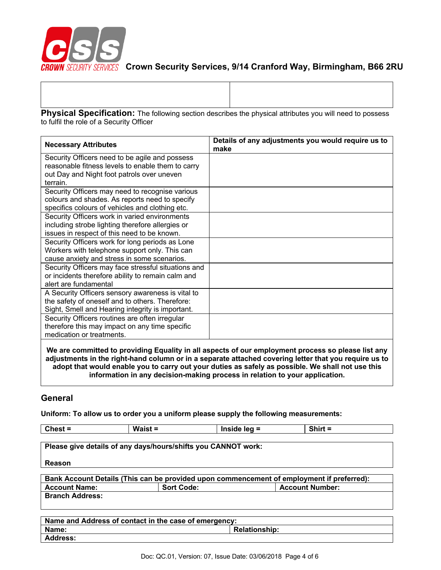

| Physical Specification: The following section describes the physical attributes you will need to possess |  |
|----------------------------------------------------------------------------------------------------------|--|
| to fulfil the role of a Security Officer                                                                 |  |

| <b>Necessary Attributes</b>                         | Details of any adjustments you would require us to<br>make |
|-----------------------------------------------------|------------------------------------------------------------|
| Security Officers need to be agile and possess      |                                                            |
| reasonable fitness levels to enable them to carry   |                                                            |
| out Day and Night foot patrols over uneven          |                                                            |
| terrain.                                            |                                                            |
| Security Officers may need to recognise various     |                                                            |
| colours and shades. As reports need to specify      |                                                            |
| specifics colours of vehicles and clothing etc.     |                                                            |
| Security Officers work in varied environments       |                                                            |
| including strobe lighting therefore allergies or    |                                                            |
| issues in respect of this need to be known.         |                                                            |
| Security Officers work for long periods as Lone     |                                                            |
| Workers with telephone support only. This can       |                                                            |
| cause anxiety and stress in some scenarios.         |                                                            |
| Security Officers may face stressful situations and |                                                            |
| or incidents therefore ability to remain calm and   |                                                            |
| alert are fundamental                               |                                                            |
| A Security Officers sensory awareness is vital to   |                                                            |
| the safety of oneself and to others. Therefore:     |                                                            |
| Sight, Smell and Hearing integrity is important.    |                                                            |
| Security Officers routines are often irregular      |                                                            |
| therefore this may impact on any time specific      |                                                            |
| medication or treatments.                           |                                                            |
| المرمث بطاعين والمسالمان بمسمر مة اممةكا<br>ML.     |                                                            |

**We are committed to providing Equality in all aspects of our employment process so please list any adjustments in the right-hand column or in a separate attached covering letter that you require us to adopt that would enable you to carry out your duties as safely as possible. We shall not use this information in any decision-making process in relation to your application.** 

┑

# **General**

**Uniform: To allow us to order you a uniform please supply the following measurements:**

| $Check =$              | Waist $=$                                             | Inside $leg =$                                                | $Shift =$                                                                                 |
|------------------------|-------------------------------------------------------|---------------------------------------------------------------|-------------------------------------------------------------------------------------------|
|                        |                                                       |                                                               |                                                                                           |
|                        |                                                       | Please give details of any days/hours/shifts you CANNOT work: |                                                                                           |
|                        |                                                       |                                                               |                                                                                           |
| <b>Reason</b>          |                                                       |                                                               |                                                                                           |
|                        |                                                       |                                                               |                                                                                           |
|                        |                                                       |                                                               | Bank Account Details (This can be provided upon commencement of employment if preferred): |
| <b>Account Name:</b>   | <b>Sort Code:</b>                                     |                                                               | <b>Account Number:</b>                                                                    |
| <b>Branch Address:</b> |                                                       |                                                               |                                                                                           |
|                        |                                                       |                                                               |                                                                                           |
|                        |                                                       |                                                               |                                                                                           |
|                        | Name and Address of contact in the case of emergency: |                                                               |                                                                                           |
| Name:                  |                                                       | <b>Relationship:</b>                                          |                                                                                           |
| Address:               |                                                       |                                                               |                                                                                           |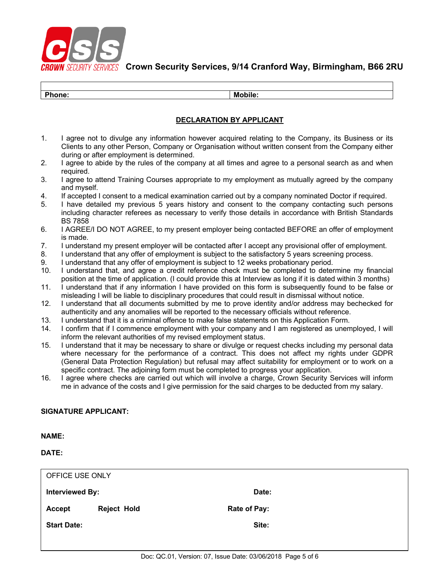

| DL.<br>one. | <b>A</b><br>M<br>ш. |
|-------------|---------------------|
|             |                     |

#### **DECLARATION BY APPLICANT**

- 1. I agree not to divulge any information however acquired relating to the Company, its Business or its Clients to any other Person, Company or Organisation without written consent from the Company either during or after employment is determined.
- 2. I agree to abide by the rules of the company at all times and agree to a personal search as and when required.
- 3. I agree to attend Training Courses appropriate to my employment as mutually agreed by the company and myself.
- 4. If accepted I consent to a medical examination carried out by a company nominated Doctor if required.
- 5. I have detailed my previous 5 years history and consent to the company contacting such persons including character referees as necessary to verify those details in accordance with British Standards BS 7858
- 6. I AGREE/I DO NOT AGREE, to my present employer being contacted BEFORE an offer of employment is made.
- 7. I understand my present employer will be contacted after I accept any provisional offer of employment.
- 8. I understand that any offer of employment is subject to the satisfactory 5 years screening process.
- 9. I understand that any offer of employment is subject to 12 weeks probationary period.
- 10. I understand that, and agree a credit reference check must be completed to determine my financial position at the time of application. (I could provide this at Interview as long if it is dated within 3 months)
- 11. I understand that if any information I have provided on this form is subsequently found to be false or misleading I will be liable to disciplinary procedures that could result in dismissal without notice.
- 12. I understand that all documents submitted by me to prove identity and/or address may bechecked for authenticity and any anomalies will be reported to the necessary officials without reference.
- 13. I understand that it is a criminal offence to make false statements on this Application Form.
- 14. I confirm that if I commence employment with your company and I am registered as unemployed, I will inform the relevant authorities of my revised employment status.
- 15. I understand that it may be necessary to share or divulge or request checks including my personal data where necessary for the performance of a contract. This does not affect my rights under GDPR (General Data Protection Regulation) but refusal may affect suitability for employment or to work on a specific contract. The adjoining form must be completed to progress your application.
- 16. I agree where checks are carried out which will involve a charge, Crown Security Services will inform me in advance of the costs and I give permission for the said charges to be deducted from my salary.

#### **SIGNATURE APPLICANT:**

**NAME:**

**DATE:**

| OFFICE USE ONLY    |                    |              |  |
|--------------------|--------------------|--------------|--|
| Interviewed By:    |                    | Date:        |  |
| Accept             | <b>Reject Hold</b> | Rate of Pay: |  |
| <b>Start Date:</b> |                    | Site:        |  |
|                    |                    |              |  |